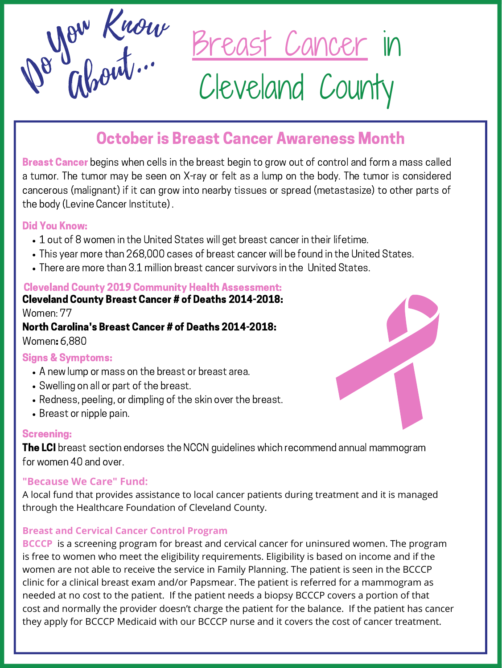Breast Cancer in Cleveland County



# October is Breast Cancer Awareness Month

**Breast Cancer** begins when cells in the breast begin to grow out of control and form a mass called a tumor. The tumor may be seen on X-ray or felt as a lump on the body. The tumor is considered cancerous (malignant) if it can grow into nearby tissues or spread (metastasize) to other parts of the body (Levine Cancer Institute) .

- A new lump or mass on the breast or breast area.
- Swelling on all or part of the breast.
- Redness, peeling, or dimpling of the skin over the breast.
- Breast or nipple pain.
- 1 out of 8 women in the United States will get breast cancer in their lifetime.
- This year more than 268,000 cases of breast cancer will be found in the United States.
- There are more than 3.1 million breast cancer survivors in the United States.

**The LCI** breast section endorses the NCCN guidelines which recommend annual mammogram for women 40 and over.

# Did You Know:

Cleveland County Breast Cancer # of Deaths 2014-2018:

Women: 77

North Carolina's Breast Cancer # of Deaths 2014-2018:

Women: 6,880

# Cleveland County 2019 Community Health Assessment:

**BCCCP** is a screening program for breast and cervical cancer for uninsured women. The program is free to women who meet the eligibility requirements. Eligibility is based on income and if the women are not able to receive the service in Family Planning. The patient is seen in the BCCCP clinic for a clinical breast exam and/or Papsmear. The patient is referred for a mammogram as needed at no cost to the patient. If the patient needs a biopsy BCCCP covers a portion of that cost and normally the provider doesn't charge the patient for the balance. If the patient has cancer they apply for BCCCP Medicaid with our BCCCP nurse and it covers the cost of cancer treatment.



### Signs & Symptoms:

# Screening:

# **"Because We Care" Fund:**

A local fund that provides assistance to local cancer patients during treatment and it is managed through the Healthcare Foundation of Cleveland County.

#### **Breast and Cervical Cancer Control Program**